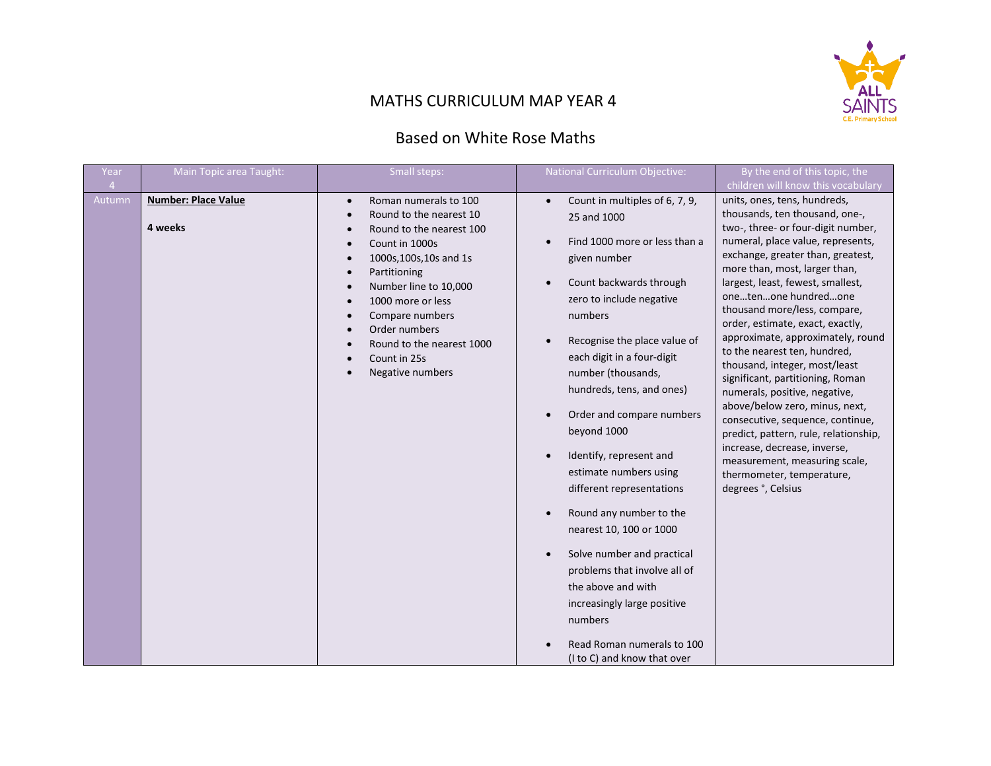

## MATHS CURRICULUM MAP YEAR 4

## Based on White Rose Maths

| Year                     | Main Topic area Taught:               | Small steps:                                                                                                                                                                                                                                                                                                                                                                                                                                                          | National Curriculum Objective:                                                                                                                                                                                                                                                                                                                                                                                                                                                                                                                                                                                                                                   | By the end of this topic, the                                                                                                                                                                                                                                                                                                                                                                                                                                                                                                                                                                                                                                                                                                                                                                        |
|--------------------------|---------------------------------------|-----------------------------------------------------------------------------------------------------------------------------------------------------------------------------------------------------------------------------------------------------------------------------------------------------------------------------------------------------------------------------------------------------------------------------------------------------------------------|------------------------------------------------------------------------------------------------------------------------------------------------------------------------------------------------------------------------------------------------------------------------------------------------------------------------------------------------------------------------------------------------------------------------------------------------------------------------------------------------------------------------------------------------------------------------------------------------------------------------------------------------------------------|------------------------------------------------------------------------------------------------------------------------------------------------------------------------------------------------------------------------------------------------------------------------------------------------------------------------------------------------------------------------------------------------------------------------------------------------------------------------------------------------------------------------------------------------------------------------------------------------------------------------------------------------------------------------------------------------------------------------------------------------------------------------------------------------------|
| $\overline{4}$<br>Autumn | <b>Number: Place Value</b><br>4 weeks | Roman numerals to 100<br>$\bullet$<br>Round to the nearest 10<br>$\bullet$<br>Round to the nearest 100<br>$\bullet$<br>Count in 1000s<br>$\bullet$<br>1000s, 100s, 10s and 1s<br>$\bullet$<br>Partitioning<br>$\bullet$<br>Number line to 10,000<br>$\bullet$<br>1000 more or less<br>$\bullet$<br>Compare numbers<br>$\bullet$<br>Order numbers<br>$\bullet$<br>Round to the nearest 1000<br>$\bullet$<br>Count in 25s<br>$\bullet$<br>Negative numbers<br>$\bullet$ | Count in multiples of 6, 7, 9,<br>25 and 1000<br>Find 1000 more or less than a<br>given number<br>Count backwards through<br>zero to include negative<br>numbers<br>Recognise the place value of<br>each digit in a four-digit<br>number (thousands,<br>hundreds, tens, and ones)<br>Order and compare numbers<br>beyond 1000<br>Identify, represent and<br>estimate numbers using<br>different representations<br>Round any number to the<br>nearest 10, 100 or 1000<br>Solve number and practical<br>problems that involve all of<br>the above and with<br>increasingly large positive<br>numbers<br>Read Roman numerals to 100<br>(I to C) and know that over | children will know this vocabulary<br>units, ones, tens, hundreds,<br>thousands, ten thousand, one-,<br>two-, three- or four-digit number,<br>numeral, place value, represents,<br>exchange, greater than, greatest,<br>more than, most, larger than,<br>largest, least, fewest, smallest,<br>onetenone hundredone<br>thousand more/less, compare,<br>order, estimate, exact, exactly,<br>approximate, approximately, round<br>to the nearest ten, hundred,<br>thousand, integer, most/least<br>significant, partitioning, Roman<br>numerals, positive, negative,<br>above/below zero, minus, next,<br>consecutive, sequence, continue,<br>predict, pattern, rule, relationship,<br>increase, decrease, inverse,<br>measurement, measuring scale,<br>thermometer, temperature,<br>degrees °, Celsius |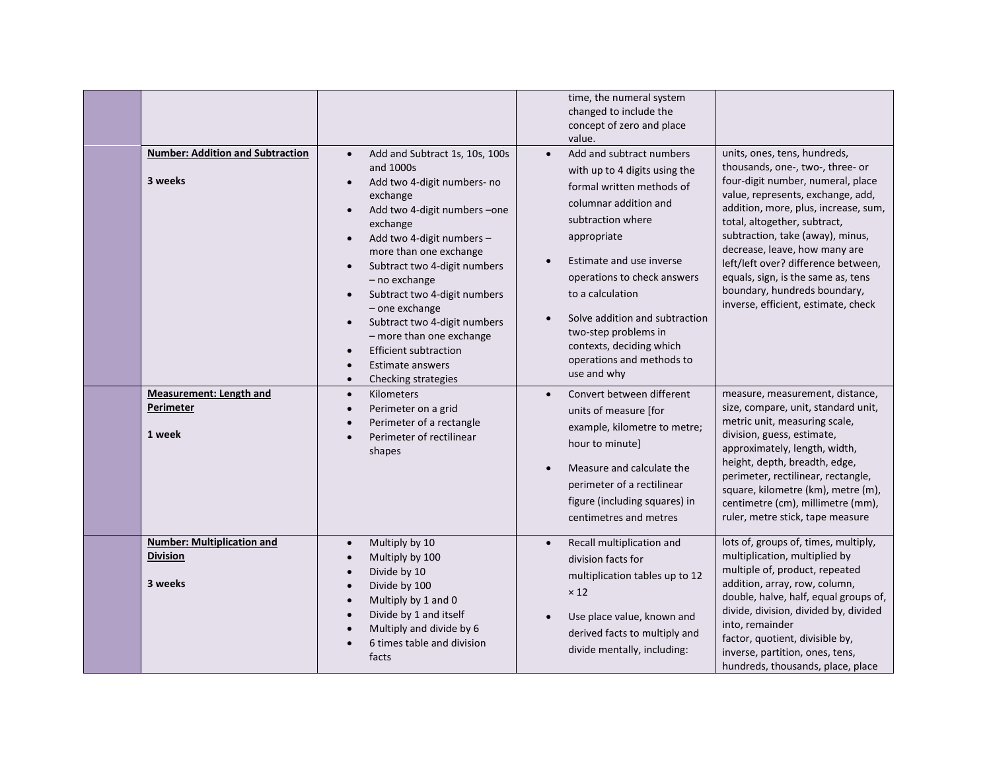| <b>Number: Addition and Subtraction</b><br>3 weeks              | Add and Subtract 1s, 10s, 100s<br>$\bullet$<br>and 1000s<br>Add two 4-digit numbers- no<br>$\bullet$<br>exchange<br>Add two 4-digit numbers -one<br>$\bullet$<br>exchange<br>Add two 4-digit numbers -<br>$\bullet$<br>more than one exchange<br>Subtract two 4-digit numbers<br>$\bullet$<br>- no exchange<br>Subtract two 4-digit numbers<br>$\bullet$<br>- one exchange<br>Subtract two 4-digit numbers<br>$\bullet$<br>- more than one exchange<br><b>Efficient subtraction</b><br>$\bullet$<br>Estimate answers<br>$\bullet$<br>Checking strategies<br>$\bullet$ | time, the numeral system<br>changed to include the<br>concept of zero and place<br>value.<br>Add and subtract numbers<br>$\bullet$<br>with up to 4 digits using the<br>formal written methods of<br>columnar addition and<br>subtraction where<br>appropriate<br>Estimate and use inverse<br>operations to check answers<br>to a calculation<br>Solve addition and subtraction<br>two-step problems in<br>contexts, deciding which<br>operations and methods to<br>use and why | units, ones, tens, hundreds,<br>thousands, one-, two-, three- or<br>four-digit number, numeral, place<br>value, represents, exchange, add,<br>addition, more, plus, increase, sum,<br>total, altogether, subtract,<br>subtraction, take (away), minus,<br>decrease, leave, how many are<br>left/left over? difference between,<br>equals, sign, is the same as, tens<br>boundary, hundreds boundary,<br>inverse, efficient, estimate, check |
|-----------------------------------------------------------------|-----------------------------------------------------------------------------------------------------------------------------------------------------------------------------------------------------------------------------------------------------------------------------------------------------------------------------------------------------------------------------------------------------------------------------------------------------------------------------------------------------------------------------------------------------------------------|--------------------------------------------------------------------------------------------------------------------------------------------------------------------------------------------------------------------------------------------------------------------------------------------------------------------------------------------------------------------------------------------------------------------------------------------------------------------------------|---------------------------------------------------------------------------------------------------------------------------------------------------------------------------------------------------------------------------------------------------------------------------------------------------------------------------------------------------------------------------------------------------------------------------------------------|
| <b>Measurement: Length and</b><br>Perimeter<br>1 week           | Kilometers<br>$\bullet$<br>Perimeter on a grid<br>$\bullet$<br>Perimeter of a rectangle<br>$\bullet$<br>Perimeter of rectilinear<br>$\bullet$<br>shapes                                                                                                                                                                                                                                                                                                                                                                                                               | Convert between different<br>units of measure [for<br>example, kilometre to metre;<br>hour to minute]<br>Measure and calculate the<br>perimeter of a rectilinear<br>figure (including squares) in<br>centimetres and metres                                                                                                                                                                                                                                                    | measure, measurement, distance,<br>size, compare, unit, standard unit,<br>metric unit, measuring scale,<br>division, guess, estimate,<br>approximately, length, width,<br>height, depth, breadth, edge,<br>perimeter, rectilinear, rectangle,<br>square, kilometre (km), metre (m),<br>centimetre (cm), millimetre (mm),<br>ruler, metre stick, tape measure                                                                                |
| <b>Number: Multiplication and</b><br><b>Division</b><br>3 weeks | Multiply by 10<br>$\bullet$<br>Multiply by 100<br>$\bullet$<br>Divide by 10<br>$\bullet$<br>Divide by 100<br>$\bullet$<br>Multiply by 1 and 0<br>$\bullet$<br>Divide by 1 and itself<br>$\bullet$<br>Multiply and divide by 6<br>6 times table and division<br>facts                                                                                                                                                                                                                                                                                                  | Recall multiplication and<br>division facts for<br>multiplication tables up to 12<br>$\times$ 12<br>Use place value, known and<br>derived facts to multiply and<br>divide mentally, including:                                                                                                                                                                                                                                                                                 | lots of, groups of, times, multiply,<br>multiplication, multiplied by<br>multiple of, product, repeated<br>addition, array, row, column,<br>double, halve, half, equal groups of,<br>divide, division, divided by, divided<br>into, remainder<br>factor, quotient, divisible by,<br>inverse, partition, ones, tens,<br>hundreds, thousands, place, place                                                                                    |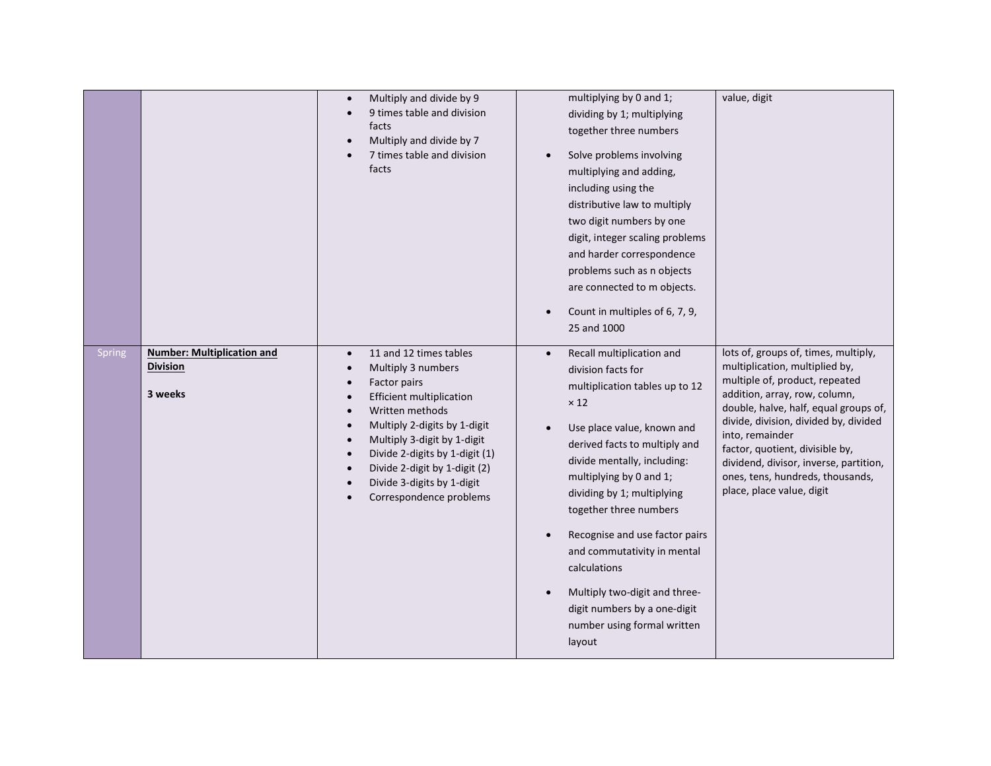|        |                                                                 | Multiply and divide by 9<br>$\bullet$<br>9 times table and division<br>facts<br>Multiply and divide by 7<br>7 times table and division<br>facts                                                                                                                                                                                                                                                                                                 | multiplying by 0 and 1;<br>dividing by 1; multiplying<br>together three numbers<br>Solve problems involving<br>multiplying and adding,<br>including using the<br>distributive law to multiply<br>two digit numbers by one<br>digit, integer scaling problems<br>and harder correspondence<br>problems such as n objects<br>are connected to m objects.<br>Count in multiples of 6, 7, 9,<br>25 and 1000                                                                                   | value, digit                                                                                                                                                                                                                                                                                                                                                                                 |
|--------|-----------------------------------------------------------------|-------------------------------------------------------------------------------------------------------------------------------------------------------------------------------------------------------------------------------------------------------------------------------------------------------------------------------------------------------------------------------------------------------------------------------------------------|-------------------------------------------------------------------------------------------------------------------------------------------------------------------------------------------------------------------------------------------------------------------------------------------------------------------------------------------------------------------------------------------------------------------------------------------------------------------------------------------|----------------------------------------------------------------------------------------------------------------------------------------------------------------------------------------------------------------------------------------------------------------------------------------------------------------------------------------------------------------------------------------------|
| Spring | <b>Number: Multiplication and</b><br><b>Division</b><br>3 weeks | 11 and 12 times tables<br>$\bullet$<br>Multiply 3 numbers<br>$\bullet$<br>Factor pairs<br>$\bullet$<br><b>Efficient multiplication</b><br>$\bullet$<br>Written methods<br>$\bullet$<br>Multiply 2-digits by 1-digit<br>$\bullet$<br>Multiply 3-digit by 1-digit<br>$\bullet$<br>Divide 2-digits by 1-digit (1)<br>$\bullet$<br>Divide 2-digit by 1-digit (2)<br>Divide 3-digits by 1-digit<br>$\bullet$<br>Correspondence problems<br>$\bullet$ | Recall multiplication and<br>$\bullet$<br>division facts for<br>multiplication tables up to 12<br>$\times$ 12<br>Use place value, known and<br>derived facts to multiply and<br>divide mentally, including:<br>multiplying by 0 and 1;<br>dividing by 1; multiplying<br>together three numbers<br>Recognise and use factor pairs<br>and commutativity in mental<br>calculations<br>Multiply two-digit and three-<br>digit numbers by a one-digit<br>number using formal written<br>layout | lots of, groups of, times, multiply,<br>multiplication, multiplied by,<br>multiple of, product, repeated<br>addition, array, row, column,<br>double, halve, half, equal groups of,<br>divide, division, divided by, divided<br>into, remainder<br>factor, quotient, divisible by,<br>dividend, divisor, inverse, partition,<br>ones, tens, hundreds, thousands,<br>place, place value, digit |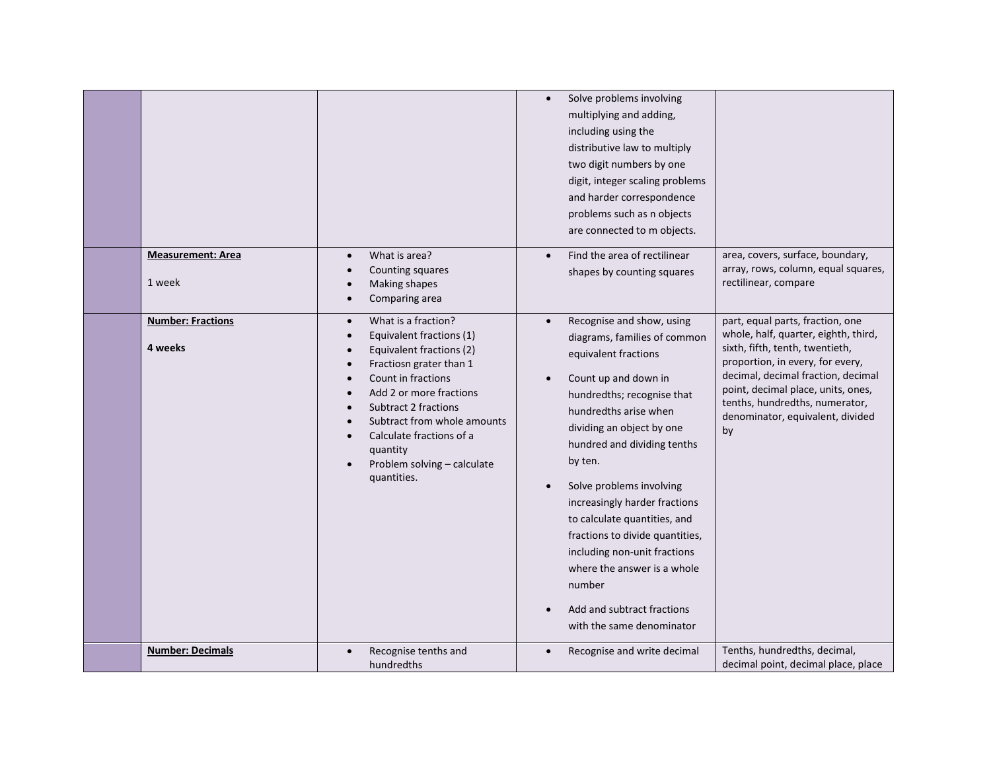|                                     |                                                                                                                                                                                                                                                                                                                                                                                                                     | Solve problems involving<br>$\bullet$<br>multiplying and adding,<br>including using the<br>distributive law to multiply<br>two digit numbers by one<br>digit, integer scaling problems<br>and harder correspondence<br>problems such as n objects<br>are connected to m objects.                                                                                                                                                                                                                                         |                                                                                                                                                                                                                                                                                                         |
|-------------------------------------|---------------------------------------------------------------------------------------------------------------------------------------------------------------------------------------------------------------------------------------------------------------------------------------------------------------------------------------------------------------------------------------------------------------------|--------------------------------------------------------------------------------------------------------------------------------------------------------------------------------------------------------------------------------------------------------------------------------------------------------------------------------------------------------------------------------------------------------------------------------------------------------------------------------------------------------------------------|---------------------------------------------------------------------------------------------------------------------------------------------------------------------------------------------------------------------------------------------------------------------------------------------------------|
| <b>Measurement: Area</b><br>1 week  | What is area?<br>$\bullet$<br>Counting squares<br>$\bullet$<br>Making shapes<br>$\bullet$<br>Comparing area<br>$\bullet$                                                                                                                                                                                                                                                                                            | Find the area of rectilinear<br>shapes by counting squares                                                                                                                                                                                                                                                                                                                                                                                                                                                               | area, covers, surface, boundary,<br>array, rows, column, equal squares,<br>rectilinear, compare                                                                                                                                                                                                         |
| <b>Number: Fractions</b><br>4 weeks | What is a fraction?<br>$\bullet$<br>Equivalent fractions (1)<br>$\bullet$<br>Equivalent fractions (2)<br>$\bullet$<br>Fractiosn grater than 1<br>$\bullet$<br>Count in fractions<br>$\bullet$<br>Add 2 or more fractions<br><b>Subtract 2 fractions</b><br>Subtract from whole amounts<br>$\bullet$<br>Calculate fractions of a<br>$\bullet$<br>quantity<br>Problem solving - calculate<br>$\bullet$<br>quantities. | Recognise and show, using<br>$\bullet$<br>diagrams, families of common<br>equivalent fractions<br>Count up and down in<br>hundredths; recognise that<br>hundredths arise when<br>dividing an object by one<br>hundred and dividing tenths<br>by ten.<br>Solve problems involving<br>increasingly harder fractions<br>to calculate quantities, and<br>fractions to divide quantities,<br>including non-unit fractions<br>where the answer is a whole<br>number<br>Add and subtract fractions<br>with the same denominator | part, equal parts, fraction, one<br>whole, half, quarter, eighth, third,<br>sixth, fifth, tenth, twentieth,<br>proportion, in every, for every,<br>decimal, decimal fraction, decimal<br>point, decimal place, units, ones,<br>tenths, hundredths, numerator,<br>denominator, equivalent, divided<br>by |
| <b>Number: Decimals</b>             | Recognise tenths and<br>hundredths                                                                                                                                                                                                                                                                                                                                                                                  | Recognise and write decimal                                                                                                                                                                                                                                                                                                                                                                                                                                                                                              | Tenths, hundredths, decimal,<br>decimal point, decimal place, place                                                                                                                                                                                                                                     |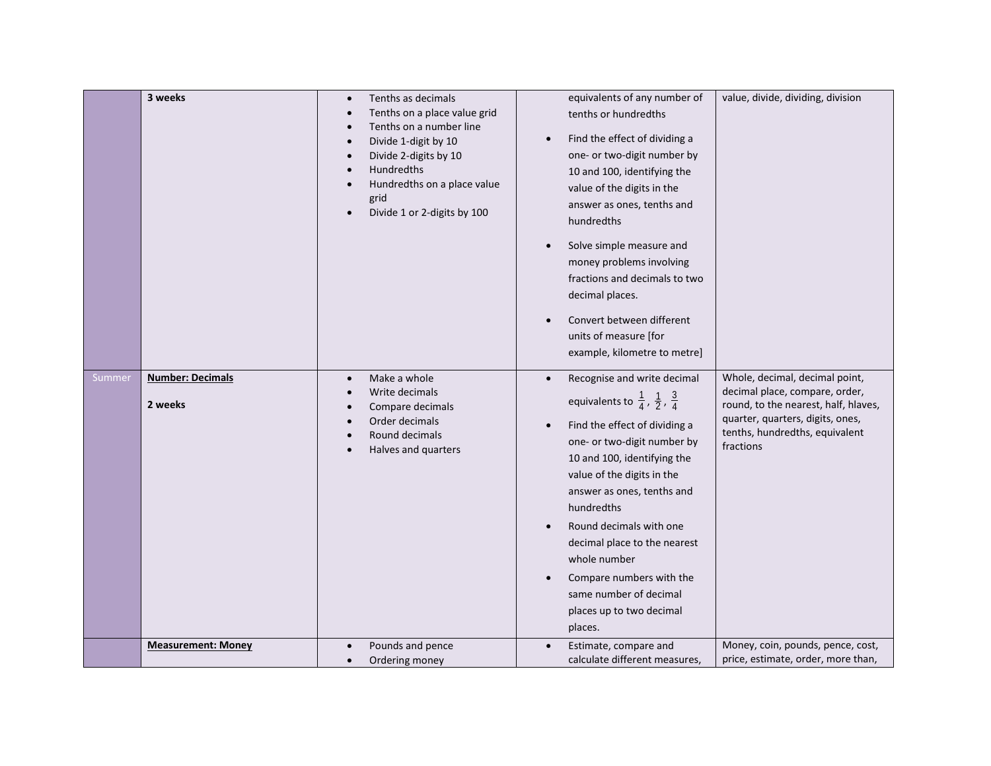|        | 3 weeks                            | Tenths as decimals<br>$\bullet$<br>Tenths on a place value grid<br>Tenths on a number line<br>Divide 1-digit by 10<br>Divide 2-digits by 10<br>Hundredths<br>Hundredths on a place value<br>grid<br>Divide 1 or 2-digits by 100<br>$\bullet$ | equivalents of any number of<br>tenths or hundredths<br>Find the effect of dividing a<br>$\bullet$<br>one- or two-digit number by<br>10 and 100, identifying the<br>value of the digits in the<br>answer as ones, tenths and<br>hundredths<br>Solve simple measure and<br>money problems involving<br>fractions and decimals to two<br>decimal places.<br>Convert between different<br>units of measure [for<br>example, kilometre to metre]              | value, divide, dividing, division                                                                                                                                                           |
|--------|------------------------------------|----------------------------------------------------------------------------------------------------------------------------------------------------------------------------------------------------------------------------------------------|-----------------------------------------------------------------------------------------------------------------------------------------------------------------------------------------------------------------------------------------------------------------------------------------------------------------------------------------------------------------------------------------------------------------------------------------------------------|---------------------------------------------------------------------------------------------------------------------------------------------------------------------------------------------|
| Summer | <b>Number: Decimals</b><br>2 weeks | Make a whole<br>$\bullet$<br>Write decimals<br>Compare decimals<br>Order decimals<br>Round decimals<br>Halves and quarters                                                                                                                   | Recognise and write decimal<br>$\bullet$<br>equivalents to $\frac{1}{4}$ , $\frac{1}{2}$ , $\frac{3}{4}$<br>Find the effect of dividing a<br>one- or two-digit number by<br>10 and 100, identifying the<br>value of the digits in the<br>answer as ones, tenths and<br>hundredths<br>Round decimals with one<br>decimal place to the nearest<br>whole number<br>Compare numbers with the<br>same number of decimal<br>places up to two decimal<br>places. | Whole, decimal, decimal point,<br>decimal place, compare, order,<br>round, to the nearest, half, hlaves,<br>quarter, quarters, digits, ones,<br>tenths, hundredths, equivalent<br>fractions |
|        | <b>Measurement: Money</b>          | Pounds and pence<br>$\bullet$<br>Ordering money                                                                                                                                                                                              | Estimate, compare and<br>calculate different measures,                                                                                                                                                                                                                                                                                                                                                                                                    | Money, coin, pounds, pence, cost,<br>price, estimate, order, more than,                                                                                                                     |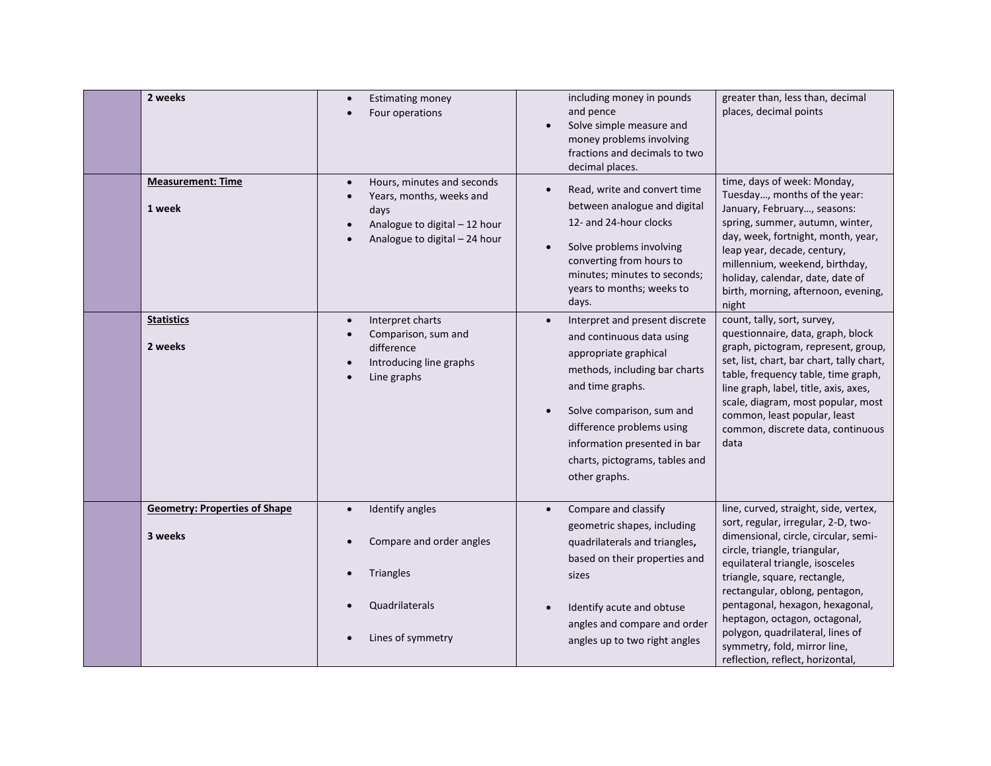| 2 weeks                                         | <b>Estimating money</b><br>Four operations                                                                                                                 | including money in pounds<br>and pence<br>Solve simple measure and<br>money problems involving<br>fractions and decimals to two<br>decimal places.                                                                                                                                     | greater than, less than, decimal<br>places, decimal points                                                                                                                                                                                                                                                                                                                                                                             |
|-------------------------------------------------|------------------------------------------------------------------------------------------------------------------------------------------------------------|----------------------------------------------------------------------------------------------------------------------------------------------------------------------------------------------------------------------------------------------------------------------------------------|----------------------------------------------------------------------------------------------------------------------------------------------------------------------------------------------------------------------------------------------------------------------------------------------------------------------------------------------------------------------------------------------------------------------------------------|
| <b>Measurement: Time</b><br>1 week              | Hours, minutes and seconds<br>$\bullet$<br>Years, months, weeks and<br>$\bullet$<br>days<br>Analogue to digital - 12 hour<br>Analogue to digital - 24 hour | Read, write and convert time<br>between analogue and digital<br>12- and 24-hour clocks<br>Solve problems involving<br>converting from hours to<br>minutes; minutes to seconds;<br>years to months; weeks to<br>days.                                                                   | time, days of week: Monday,<br>Tuesday, months of the year:<br>January, February, seasons:<br>spring, summer, autumn, winter,<br>day, week, fortnight, month, year,<br>leap year, decade, century,<br>millennium, weekend, birthday,<br>holiday, calendar, date, date of<br>birth, morning, afternoon, evening,<br>night                                                                                                               |
| <b>Statistics</b><br>2 weeks                    | Interpret charts<br>$\bullet$<br>Comparison, sum and<br>$\bullet$<br>difference<br>Introducing line graphs<br>$\bullet$<br>Line graphs                     | Interpret and present discrete<br>and continuous data using<br>appropriate graphical<br>methods, including bar charts<br>and time graphs.<br>Solve comparison, sum and<br>difference problems using<br>information presented in bar<br>charts, pictograms, tables and<br>other graphs. | count, tally, sort, survey,<br>questionnaire, data, graph, block<br>graph, pictogram, represent, group,<br>set, list, chart, bar chart, tally chart,<br>table, frequency table, time graph,<br>line graph, label, title, axis, axes,<br>scale, diagram, most popular, most<br>common, least popular, least<br>common, discrete data, continuous<br>data                                                                                |
| <b>Geometry: Properties of Shape</b><br>3 weeks | Identify angles<br>$\bullet$<br>Compare and order angles<br>Triangles<br>Quadrilaterals<br>Lines of symmetry                                               | Compare and classify<br>$\bullet$<br>geometric shapes, including<br>quadrilaterals and triangles,<br>based on their properties and<br>sizes<br>Identify acute and obtuse<br>angles and compare and order<br>angles up to two right angles                                              | line, curved, straight, side, vertex,<br>sort, regular, irregular, 2-D, two-<br>dimensional, circle, circular, semi-<br>circle, triangle, triangular,<br>equilateral triangle, isosceles<br>triangle, square, rectangle,<br>rectangular, oblong, pentagon,<br>pentagonal, hexagon, hexagonal,<br>heptagon, octagon, octagonal,<br>polygon, quadrilateral, lines of<br>symmetry, fold, mirror line,<br>reflection, reflect, horizontal, |